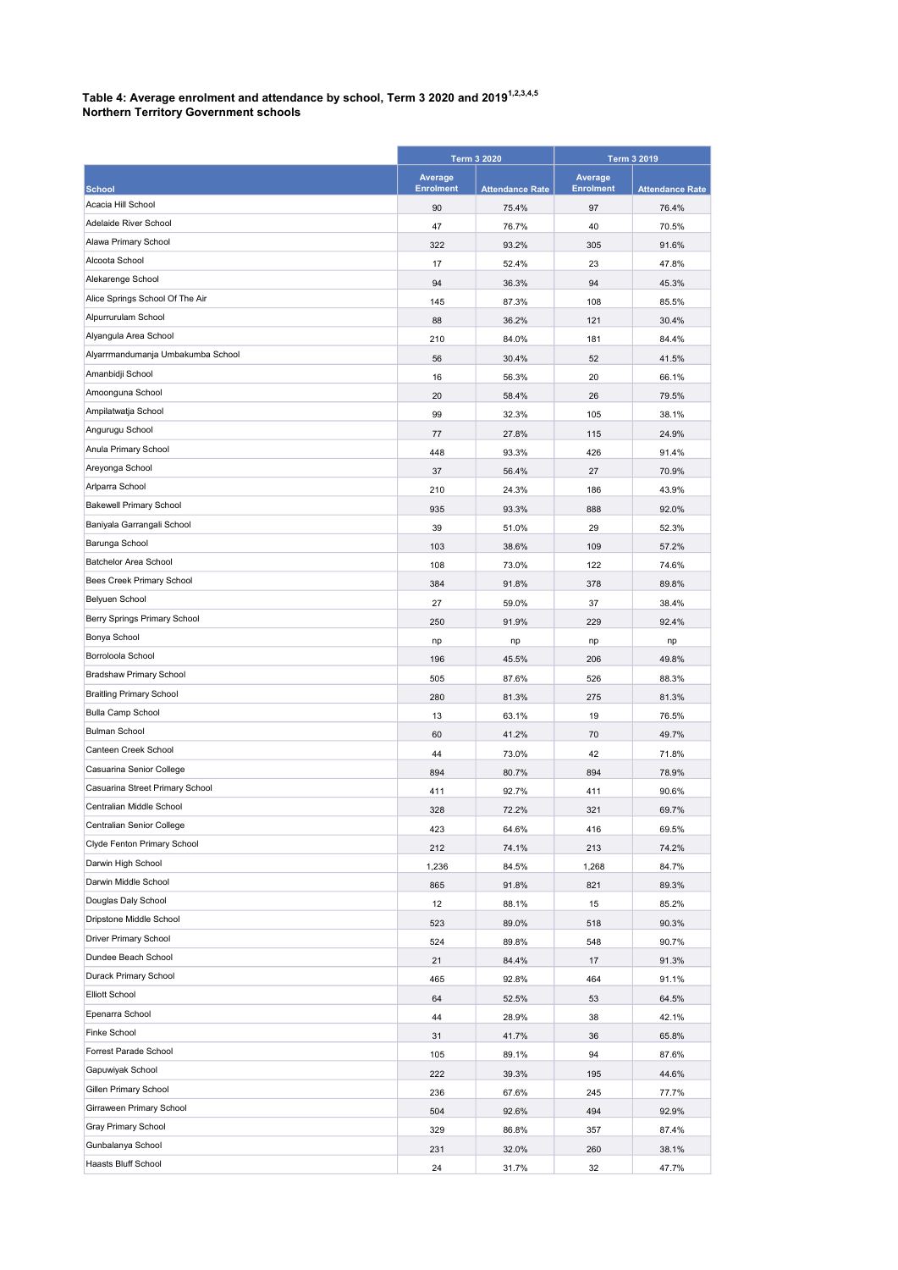## Table 4: Average enrolment and attendance by school, Term 3 2020 and 2019 $^{1,2,3,4,5}$

| <b>Northern Territory Government schools</b> |  |
|----------------------------------------------|--|
|----------------------------------------------|--|

|                                   | <b>Term 3 2020</b>          |                        | <b>Term 3 2019</b>          |                        |
|-----------------------------------|-----------------------------|------------------------|-----------------------------|------------------------|
| <b>School</b>                     | Average<br><b>Enrolment</b> | <b>Attendance Rate</b> | Average<br><b>Enrolment</b> | <b>Attendance Rate</b> |
| Acacia Hill School                | 90                          | 75.4%                  | 97                          | 76.4%                  |
| Adelaide River School             | 47                          | 76.7%                  | 40                          | 70.5%                  |
| Alawa Primary School              | 322                         | 93.2%                  | 305                         | 91.6%                  |
| Alcoota School                    | 17                          | 52.4%                  | 23                          | 47.8%                  |
| Alekarenge School                 | 94                          | 36.3%                  | 94                          | 45.3%                  |
| Alice Springs School Of The Air   | 145                         | 87.3%                  | 108                         | 85.5%                  |
| Alpurrurulam School               | 88                          | 36.2%                  | 121                         | 30.4%                  |
| Alyangula Area School             | 210                         | 84.0%                  | 181                         | 84.4%                  |
| Alyarrmandumanja Umbakumba School | 56                          | 30.4%                  | 52                          | 41.5%                  |
| Amanbidji School                  | 16                          | 56.3%                  | 20                          | 66.1%                  |
| Amoonguna School                  | 20                          | 58.4%                  | 26                          | 79.5%                  |
| Ampilatwatja School               | 99                          | 32.3%                  | 105                         | 38.1%                  |
| Angurugu School                   | 77                          | 27.8%                  | 115                         | 24.9%                  |
| Anula Primary School              | 448                         | 93.3%                  | 426                         | 91.4%                  |
| Areyonga School                   | 37                          | 56.4%                  | 27                          | 70.9%                  |
| Arlparra School                   | 210                         | 24.3%                  | 186                         | 43.9%                  |
| <b>Bakewell Primary School</b>    | 935                         | 93.3%                  | 888                         | 92.0%                  |
| Baniyala Garrangali School        | 39                          | 51.0%                  | 29                          | 52.3%                  |
| Barunga School                    | 103                         | 38.6%                  | 109                         | 57.2%                  |
| <b>Batchelor Area School</b>      | 108                         | 73.0%                  | 122                         | 74.6%                  |
| Bees Creek Primary School         | 384                         | 91.8%                  | 378                         | 89.8%                  |
| Belyuen School                    | 27                          | 59.0%                  | 37                          | 38.4%                  |
| Berry Springs Primary School      | 250                         | 91.9%                  | 229                         | 92.4%                  |
| Bonya School                      | np                          | np                     | np                          | np                     |
| Borroloola School                 | 196                         | 45.5%                  | 206                         | 49.8%                  |
| Bradshaw Primary School           | 505                         | 87.6%                  | 526                         | 88.3%                  |
| <b>Braitling Primary School</b>   | 280                         | 81.3%                  | 275                         | 81.3%                  |
| <b>Bulla Camp School</b>          | 13                          | 63.1%                  | 19                          | 76.5%                  |
| <b>Bulman School</b>              | 60                          | 41.2%                  | 70                          | 49.7%                  |
| Canteen Creek School              | 44                          | 73.0%                  | 42                          | 71.8%                  |
| Casuarina Senior College          | 894                         | 80.7%                  | 894                         | 78.9%                  |
| Casuarina Street Primary School   | 411                         | 92.7%                  | 411                         | 90.6%                  |
| Centralian Middle School          | 328                         | 72.2%                  | 321                         | 69.7%                  |
| Centralian Senior College         | 423                         | 64.6%                  | 416                         | 69.5%                  |
| Clyde Fenton Primary School       | 212                         | 74.1%                  | 213                         | 74.2%                  |
| Darwin High School                | 1,236                       | 84.5%                  | 1,268                       | 84.7%                  |
| Darwin Middle School              | 865                         | 91.8%                  | 821                         | 89.3%                  |
| Douglas Daly School               | 12                          | 88.1%                  | 15                          | 85.2%                  |
| Dripstone Middle School           | 523                         | 89.0%                  | 518                         | 90.3%                  |
| Driver Primary School             | 524                         | 89.8%                  | 548                         | 90.7%                  |
| Dundee Beach School               | 21                          | 84.4%                  | 17                          | 91.3%                  |
| Durack Primary School             | 465                         | 92.8%                  | 464                         | 91.1%                  |
| Elliott School                    | 64                          | 52.5%                  | 53                          | 64.5%                  |
| Epenarra School                   | 44                          | 28.9%                  | 38                          | 42.1%                  |
| <b>Finke School</b>               | 31                          | 41.7%                  | 36                          | 65.8%                  |
| Forrest Parade School             | 105                         | 89.1%                  | 94                          | 87.6%                  |
| Gapuwiyak School                  | 222                         | 39.3%                  | 195                         | 44.6%                  |
| Gillen Primary School             | 236                         | 67.6%                  | 245                         | 77.7%                  |
| Girraween Primary School          | 504                         | 92.6%                  | 494                         | 92.9%                  |
| Gray Primary School               | 329                         | 86.8%                  | 357                         | 87.4%                  |
| Gunbalanya School                 | 231                         | 32.0%                  | 260                         | 38.1%                  |
| Haasts Bluff School               | 24                          | 31.7%                  | 32                          | 47.7%                  |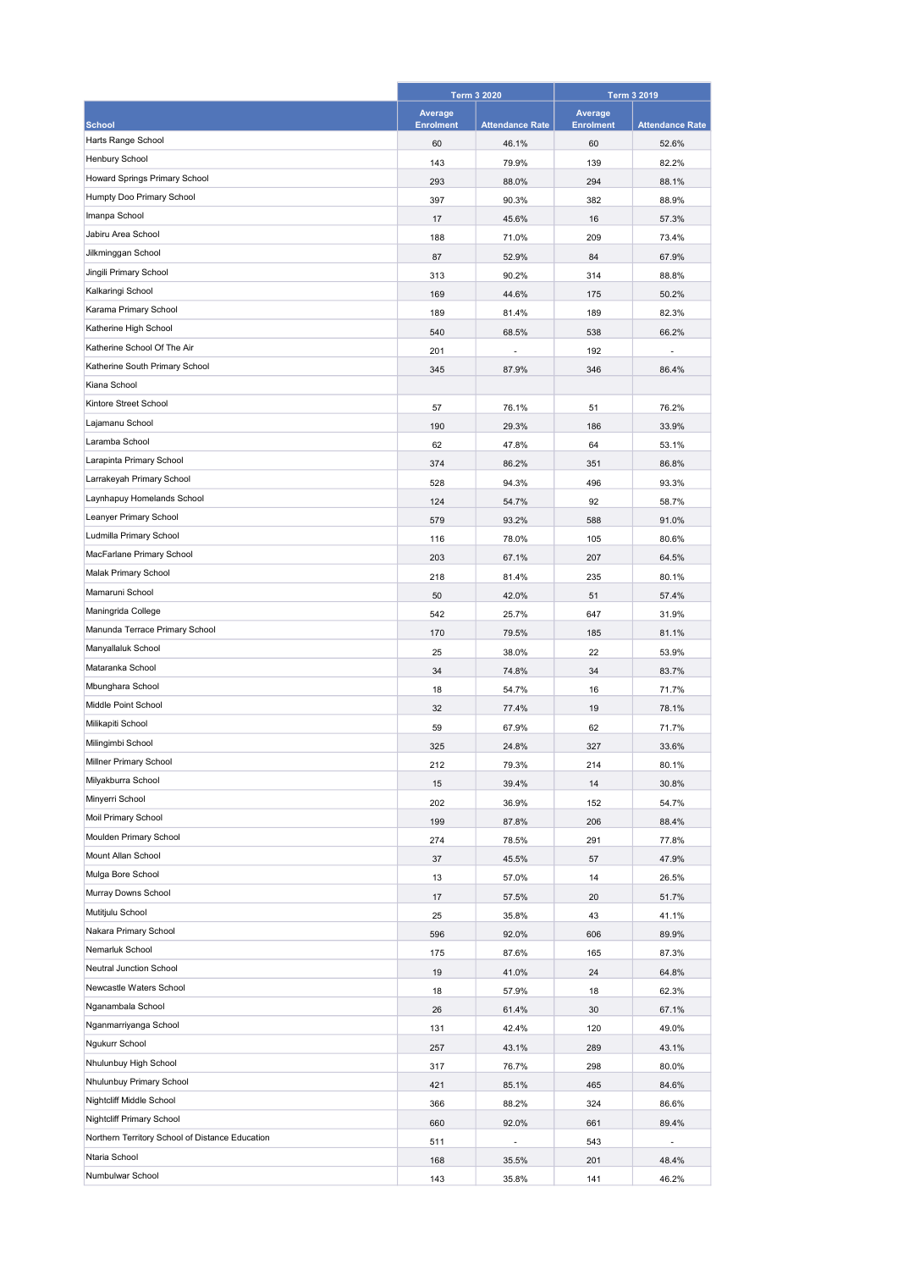|                                                 | <b>Term 3 2020</b> |                        | <b>Term 3 2019</b> |                        |
|-------------------------------------------------|--------------------|------------------------|--------------------|------------------------|
|                                                 | Average            |                        | Average            |                        |
| <b>School</b>                                   | <b>Enrolment</b>   | <b>Attendance Rate</b> | <b>Enrolment</b>   | <b>Attendance Rate</b> |
| Harts Range School                              | 60                 | 46.1%                  | 60                 | 52.6%                  |
| Henbury School                                  | 143                | 79.9%                  | 139                | 82.2%                  |
| Howard Springs Primary School                   | 293                | 88.0%                  | 294                | 88.1%                  |
| Humpty Doo Primary School                       | 397                | 90.3%                  | 382                | 88.9%                  |
| Imanpa School                                   | 17                 | 45.6%                  | 16                 | 57.3%                  |
| Jabiru Area School                              | 188                | 71.0%                  | 209                | 73.4%                  |
| Jilkminggan School                              | 87                 | 52.9%                  | 84                 | 67.9%                  |
| Jingili Primary School                          | 313                | 90.2%                  | 314                | 88.8%                  |
| Kalkaringi School                               | 169                | 44.6%                  | 175                | 50.2%                  |
| Karama Primary School                           | 189                | 81.4%                  | 189                | 82.3%                  |
| Katherine High School                           | 540                | 68.5%                  | 538                | 66.2%                  |
| Katherine School Of The Air                     | 201                |                        | 192                |                        |
| Katherine South Primary School                  | 345                | 87.9%                  | 346                | 86.4%                  |
| Kiana School                                    |                    |                        |                    |                        |
| Kintore Street School                           | 57                 | 76.1%                  | 51                 | 76.2%                  |
| Lajamanu School                                 | 190                | 29.3%                  | 186                | 33.9%                  |
| Laramba School                                  | 62                 | 47.8%                  | 64                 | 53.1%                  |
| Larapinta Primary School                        | 374                | 86.2%                  | 351                | 86.8%                  |
| Larrakeyah Primary School                       | 528                | 94.3%                  | 496                | 93.3%                  |
| Laynhapuy Homelands School                      | 124                | 54.7%                  | 92                 | 58.7%                  |
| Leanyer Primary School                          | 579                | 93.2%                  | 588                | 91.0%                  |
| Ludmilla Primary School                         | 116                | 78.0%                  | 105                | 80.6%                  |
| MacFarlane Primary School                       | 203                | 67.1%                  | 207                | 64.5%                  |
| Malak Primary School                            | 218                | 81.4%                  | 235                | 80.1%                  |
| Mamaruni School                                 | 50                 | 42.0%                  | 51                 | 57.4%                  |
| Maningrida College                              | 542                | 25.7%                  | 647                | 31.9%                  |
| Manunda Terrace Primary School                  | 170                | 79.5%                  | 185                | 81.1%                  |
| Manyallaluk School                              | 25                 | 38.0%                  | 22                 | 53.9%                  |
| Mataranka School                                | 34                 | 74.8%                  | 34                 | 83.7%                  |
| Mbunghara School                                | 18                 | 54.7%                  | 16                 | 71.7%                  |
| Middle Point School                             | 32                 | 77.4%                  | 19                 | 78.1%                  |
| Milikapiti School                               | 59                 | 67.9%                  | 62                 | 71.7%                  |
| Milingimbi School                               | 325                | 24.8%                  | 327                | 33.6%                  |
| Millner Primary School                          | 212                | 79.3%                  | 214                | 80.1%                  |
| Milyakburra School                              | 15                 | 39.4%                  | 14                 | 30.8%                  |
| Minyerri School                                 | 202                | 36.9%                  | 152                | 54.7%                  |
| Moil Primary School                             | 199                | 87.8%                  | 206                | 88.4%                  |
| Moulden Primary School                          | 274                | 78.5%                  | 291                | 77.8%                  |
| Mount Allan School                              | 37                 | 45.5%                  | 57                 | 47.9%                  |
| Mulga Bore School                               | 13                 | 57.0%                  | 14                 | 26.5%                  |
| Murray Downs School                             | 17                 | 57.5%                  | 20                 | 51.7%                  |
| Mutitjulu School                                | 25                 | 35.8%                  | 43                 | 41.1%                  |
| Nakara Primary School                           | 596                | 92.0%                  | 606                | 89.9%                  |
| Nemarluk School                                 | 175                | 87.6%                  | 165                | 87.3%                  |
| Neutral Junction School                         | 19                 | 41.0%                  | 24                 | 64.8%                  |
| Newcastle Waters School                         | 18                 | 57.9%                  | 18                 | 62.3%                  |
| Nganambala School                               | 26                 | 61.4%                  | 30                 | 67.1%                  |
| Nganmarriyanga School                           | 131                | 42.4%                  | 120                | 49.0%                  |
| Ngukurr School                                  | 257                | 43.1%                  | 289                | 43.1%                  |
| Nhulunbuy High School                           | 317                | 76.7%                  | 298                | 80.0%                  |
| Nhulunbuy Primary School                        | 421                | 85.1%                  | 465                | 84.6%                  |
| Nightcliff Middle School                        | 366                | 88.2%                  | 324                | 86.6%                  |
| Nightcliff Primary School                       | 660                | 92.0%                  | 661                | 89.4%                  |
| Northern Territory School of Distance Education | 511                |                        | 543                | ÷,                     |
| Ntaria School                                   | 168                | 35.5%                  | 201                | 48.4%                  |
| Numbulwar School                                | 143                | 35.8%                  | 141                | 46.2%                  |